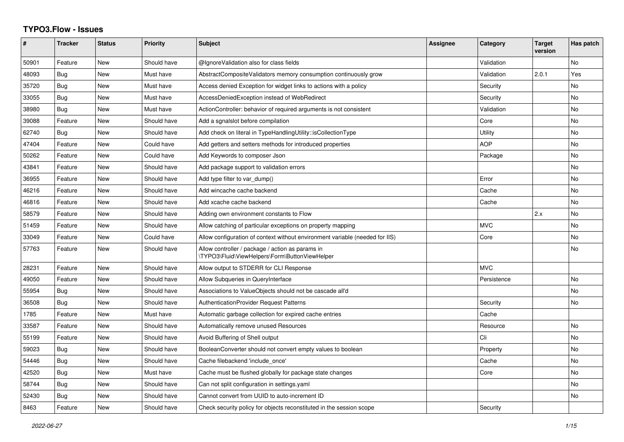## **TYPO3.Flow - Issues**

| $\pmb{\#}$ | <b>Tracker</b> | <b>Status</b> | <b>Priority</b> | <b>Subject</b>                                                                                     | <b>Assignee</b> | Category    | <b>Target</b><br>version | Has patch      |
|------------|----------------|---------------|-----------------|----------------------------------------------------------------------------------------------------|-----------------|-------------|--------------------------|----------------|
| 50901      | Feature        | New           | Should have     | @IgnoreValidation also for class fields                                                            |                 | Validation  |                          | No             |
| 48093      | <b>Bug</b>     | <b>New</b>    | Must have       | AbstractCompositeValidators memory consumption continuously grow                                   |                 | Validation  | 2.0.1                    | Yes            |
| 35720      | Bug            | New           | Must have       | Access denied Exception for widget links to actions with a policy                                  |                 | Security    |                          | No             |
| 33055      | <b>Bug</b>     | <b>New</b>    | Must have       | AccessDeniedException instead of WebRedirect                                                       |                 | Security    |                          | No.            |
| 38980      | <b>Bug</b>     | New           | Must have       | ActionController: behavior of required arguments is not consistent                                 |                 | Validation  |                          | No             |
| 39088      | Feature        | <b>New</b>    | Should have     | Add a sgnalslot before compilation                                                                 |                 | Core        |                          | No             |
| 62740      | Bug            | <b>New</b>    | Should have     | Add check on literal in TypeHandlingUtility::isCollectionType                                      |                 | Utility     |                          | No             |
| 47404      | Feature        | New           | Could have      | Add getters and setters methods for introduced properties                                          |                 | <b>AOP</b>  |                          | No             |
| 50262      | Feature        | <b>New</b>    | Could have      | Add Keywords to composer Json                                                                      |                 | Package     |                          | N <sub>o</sub> |
| 43841      | Feature        | New           | Should have     | Add package support to validation errors                                                           |                 |             |                          | No             |
| 36955      | Feature        | <b>New</b>    | Should have     | Add type filter to var dump()                                                                      |                 | Error       |                          | No             |
| 46216      | Feature        | <b>New</b>    | Should have     | Add wincache cache backend                                                                         |                 | Cache       |                          | No             |
| 46816      | Feature        | <b>New</b>    | Should have     | Add xcache cache backend                                                                           |                 | Cache       |                          | N <sub>o</sub> |
| 58579      | Feature        | New           | Should have     | Adding own environment constants to Flow                                                           |                 |             | 2.x                      | No             |
| 51459      | Feature        | <b>New</b>    | Should have     | Allow catching of particular exceptions on property mapping                                        |                 | <b>MVC</b>  |                          | N <sub>o</sub> |
| 33049      | Feature        | New           | Could have      | Allow configuration of context without environment variable (needed for IIS)                       |                 | Core        |                          | No             |
| 57763      | Feature        | <b>New</b>    | Should have     | Allow controller / package / action as params in<br>\TYPO3\Fluid\ViewHelpers\Form\ButtonViewHelper |                 |             |                          | No.            |
| 28231      | Feature        | <b>New</b>    | Should have     | Allow output to STDERR for CLI Response                                                            |                 | <b>MVC</b>  |                          |                |
| 49050      | Feature        | New           | Should have     | Allow Subqueries in QueryInterface                                                                 |                 | Persistence |                          | N <sub>o</sub> |
| 55954      | Bug            | <b>New</b>    | Should have     | Associations to ValueObjects should not be cascade all'd                                           |                 |             |                          | No             |
| 36508      | Bug            | New           | Should have     | <b>AuthenticationProvider Request Patterns</b>                                                     |                 | Security    |                          | No             |
| 1785       | Feature        | New           | Must have       | Automatic garbage collection for expired cache entries                                             |                 | Cache       |                          |                |
| 33587      | Feature        | New           | Should have     | Automatically remove unused Resources                                                              |                 | Resource    |                          | No             |
| 55199      | Feature        | <b>New</b>    | Should have     | Avoid Buffering of Shell output                                                                    |                 | Cli         |                          | N <sub>o</sub> |
| 59023      | Bug            | New           | Should have     | BooleanConverter should not convert empty values to boolean                                        |                 | Property    |                          | No             |
| 54446      | Bug            | <b>New</b>    | Should have     | Cache filebackend 'include once'                                                                   |                 | Cache       |                          | No             |
| 42520      | Bug            | New           | Must have       | Cache must be flushed globally for package state changes                                           |                 | Core        |                          | No             |
| 58744      | Bug            | <b>New</b>    | Should have     | Can not split configuration in settings yaml                                                       |                 |             |                          | No             |
| 52430      | <b>Bug</b>     | New           | Should have     | Cannot convert from UUID to auto-increment ID                                                      |                 |             |                          | No             |
| 8463       | Feature        | <b>New</b>    | Should have     | Check security policy for objects reconstituted in the session scope                               |                 | Security    |                          |                |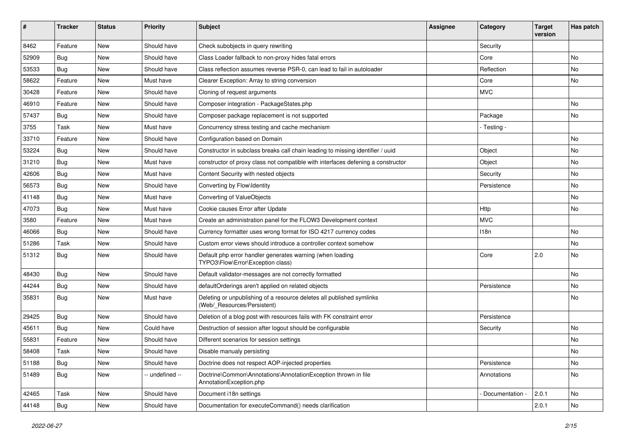| #     | <b>Tracker</b> | <b>Status</b> | <b>Priority</b> | <b>Subject</b>                                                                                       | Assignee | Category        | <b>Target</b><br>version | Has patch |
|-------|----------------|---------------|-----------------|------------------------------------------------------------------------------------------------------|----------|-----------------|--------------------------|-----------|
| 8462  | Feature        | New           | Should have     | Check subobjects in query rewriting                                                                  |          | Security        |                          |           |
| 52909 | Bug            | New           | Should have     | Class Loader fallback to non-proxy hides fatal errors                                                |          | Core            |                          | No        |
| 53533 | <b>Bug</b>     | New           | Should have     | Class reflection assumes reverse PSR-0, can lead to fail in autoloader                               |          | Reflection      |                          | No        |
| 58622 | Feature        | <b>New</b>    | Must have       | Clearer Exception: Array to string conversion                                                        |          | Core            |                          | No        |
| 30428 | Feature        | New           | Should have     | Cloning of request arguments                                                                         |          | <b>MVC</b>      |                          |           |
| 46910 | Feature        | New           | Should have     | Composer integration - PackageStates.php                                                             |          |                 |                          | No        |
| 57437 | <b>Bug</b>     | New           | Should have     | Composer package replacement is not supported                                                        |          | Package         |                          | No        |
| 3755  | Task           | New           | Must have       | Concurrency stress testing and cache mechanism                                                       |          | - Testing -     |                          |           |
| 33710 | Feature        | New           | Should have     | Configuration based on Domain                                                                        |          |                 |                          | <b>No</b> |
| 53224 | Bug            | New           | Should have     | Constructor in subclass breaks call chain leading to missing identifier / uuid                       |          | Object          |                          | No        |
| 31210 | Bug            | New           | Must have       | constructor of proxy class not compatible with interfaces defening a constructor                     |          | Object          |                          | No        |
| 42606 | <b>Bug</b>     | New           | Must have       | Content Security with nested objects                                                                 |          | Security        |                          | No        |
| 56573 | <b>Bug</b>     | New           | Should have     | Converting by Flow\Identity                                                                          |          | Persistence     |                          | No        |
| 41148 | Bug            | New           | Must have       | Converting of ValueObjects                                                                           |          |                 |                          | No        |
| 47073 | <b>Bug</b>     | New           | Must have       | Cookie causes Error after Update                                                                     |          | Http            |                          | No        |
| 3580  | Feature        | New           | Must have       | Create an administration panel for the FLOW3 Development context                                     |          | <b>MVC</b>      |                          |           |
| 46066 | Bug            | New           | Should have     | Currency formatter uses wrong format for ISO 4217 currency codes                                     |          | 118n            |                          | No        |
| 51286 | Task           | New           | Should have     | Custom error views should introduce a controller context somehow                                     |          |                 |                          | No        |
| 51312 | Bug            | New           | Should have     | Default php error handler generates warning (when loading<br>TYPO3\Flow\Error\Exception class)       |          | Core            | 2.0                      | No        |
| 48430 | Bug            | New           | Should have     | Default validator-messages are not correctly formatted                                               |          |                 |                          | No        |
| 44244 | Bug            | New           | Should have     | defaultOrderings aren't applied on related objects                                                   |          | Persistence     |                          | No        |
| 35831 | <b>Bug</b>     | New           | Must have       | Deleting or unpublishing of a resource deletes all published symlinks<br>(Web/_Resources/Persistent) |          |                 |                          | No        |
| 29425 | Bug            | New           | Should have     | Deletion of a blog post with resources fails with FK constraint error                                |          | Persistence     |                          |           |
| 45611 | <b>Bug</b>     | New           | Could have      | Destruction of session after logout should be configurable                                           |          | Security        |                          | No        |
| 55831 | Feature        | New           | Should have     | Different scenarios for session settings                                                             |          |                 |                          | No        |
| 58408 | Task           | New           | Should have     | Disable manualy persisting                                                                           |          |                 |                          | No        |
| 51188 | Bug            | New           | Should have     | Doctrine does not respect AOP-injected properties                                                    |          | Persistence     |                          | No        |
| 51489 | Bug            | New           | -- undefined -- | Doctrine\Common\Annotations\AnnotationException thrown in file<br>AnnotationException.php            |          | Annotations     |                          | No        |
| 42465 | Task           | New           | Should have     | Document i18n settings                                                                               |          | Documentation - | 2.0.1                    | No        |
| 44148 | Bug            | New           | Should have     | Documentation for executeCommand() needs clarification                                               |          |                 | 2.0.1                    | No        |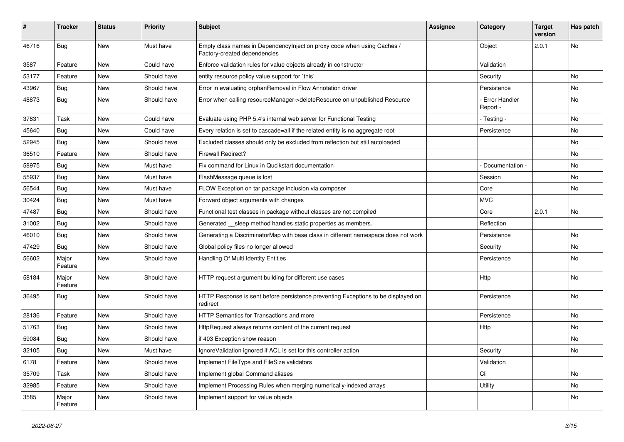| #     | <b>Tracker</b>   | <b>Status</b> | <b>Priority</b> | <b>Subject</b>                                                                                          | <b>Assignee</b> | Category                         | <b>Target</b><br>version | Has patch |
|-------|------------------|---------------|-----------------|---------------------------------------------------------------------------------------------------------|-----------------|----------------------------------|--------------------------|-----------|
| 46716 | <b>Bug</b>       | New           | Must have       | Empty class names in DependencyInjection proxy code when using Caches /<br>Factory-created dependencies |                 | Object                           | 2.0.1                    | No        |
| 3587  | Feature          | New           | Could have      | Enforce validation rules for value objects already in constructor                                       |                 | Validation                       |                          |           |
| 53177 | Feature          | New           | Should have     | entity resource policy value support for `this`                                                         |                 | Security                         |                          | No        |
| 43967 | Bug              | New           | Should have     | Error in evaluating orphanRemoval in Flow Annotation driver                                             |                 | Persistence                      |                          | No        |
| 48873 | Bug              | New           | Should have     | Error when calling resourceManager->deleteResource on unpublished Resource                              |                 | <b>Error Handler</b><br>Report - |                          | No        |
| 37831 | Task             | New           | Could have      | Evaluate using PHP 5.4's internal web server for Functional Testing                                     |                 | - Testing -                      |                          | No        |
| 45640 | Bug              | New           | Could have      | Every relation is set to cascade=all if the related entity is no aggregate root                         |                 | Persistence                      |                          | No        |
| 52945 | Bug              | New           | Should have     | Excluded classes should only be excluded from reflection but still autoloaded                           |                 |                                  |                          | No        |
| 36510 | Feature          | New           | Should have     | Firewall Redirect?                                                                                      |                 |                                  |                          | No        |
| 58975 | <b>Bug</b>       | <b>New</b>    | Must have       | Fix command for Linux in Qucikstart documentation                                                       |                 | Documentation -                  |                          | No        |
| 55937 | <b>Bug</b>       | New           | Must have       | FlashMessage queue is lost                                                                              |                 | Session                          |                          | No        |
| 56544 | Bug              | New           | Must have       | FLOW Exception on tar package inclusion via composer                                                    |                 | Core                             |                          | <b>No</b> |
| 30424 | <b>Bug</b>       | New           | Must have       | Forward object arguments with changes                                                                   |                 | <b>MVC</b>                       |                          |           |
| 47487 | Bug              | New           | Should have     | Functional test classes in package without classes are not compiled                                     |                 | Core                             | 2.0.1                    | No        |
| 31002 | Bug              | New           | Should have     | Generated __sleep method handles static properties as members.                                          |                 | Reflection                       |                          |           |
| 46010 | <b>Bug</b>       | New           | Should have     | Generating a DiscriminatorMap with base class in different namespace does not work                      |                 | Persistence                      |                          | No        |
| 47429 | <b>Bug</b>       | New           | Should have     | Global policy files no longer allowed                                                                   |                 | Security                         |                          | No.       |
| 56602 | Major<br>Feature | New           | Should have     | Handling Of Multi Identity Entities                                                                     |                 | Persistence                      |                          | No        |
| 58184 | Major<br>Feature | New           | Should have     | HTTP request argument building for different use cases                                                  |                 | Http                             |                          | No        |
| 36495 | Bug              | New           | Should have     | HTTP Response is sent before persistence preventing Exceptions to be displayed on<br>redirect           |                 | Persistence                      |                          | No        |
| 28136 | Feature          | New           | Should have     | HTTP Semantics for Transactions and more                                                                |                 | Persistence                      |                          | No.       |
| 51763 | Bug              | New           | Should have     | HttpRequest always returns content of the current request                                               |                 | Http                             |                          | No        |
| 59084 | <b>Bug</b>       | New           | Should have     | if 403 Exception show reason                                                                            |                 |                                  |                          | No        |
| 32105 | <b>Bug</b>       | New           | Must have       | Ignore Validation ignored if ACL is set for this controller action                                      |                 | Security                         |                          | No        |
| 6178  | Feature          | New           | Should have     | Implement FileType and FileSize validators                                                              |                 | Validation                       |                          |           |
| 35709 | Task             | New           | Should have     | Implement global Command aliases                                                                        |                 | Cli                              |                          | No        |
| 32985 | Feature          | New           | Should have     | Implement Processing Rules when merging numerically-indexed arrays                                      |                 | Utility                          |                          | No        |
| 3585  | Major<br>Feature | New           | Should have     | Implement support for value objects                                                                     |                 |                                  |                          | No        |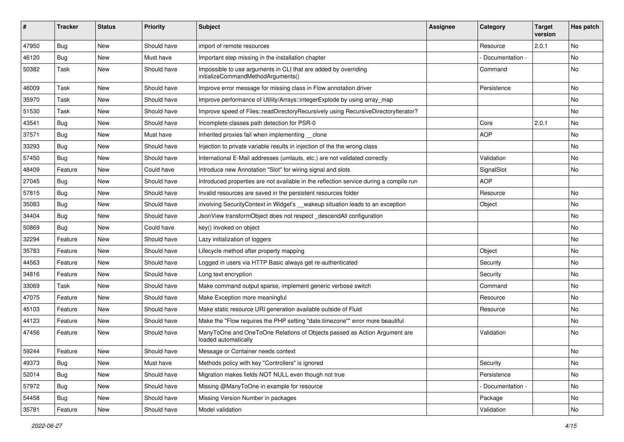| ∦     | <b>Tracker</b> | <b>Status</b> | <b>Priority</b> | <b>Subject</b>                                                                                        | Assignee | Category        | <b>Target</b><br>version | Has patch |
|-------|----------------|---------------|-----------------|-------------------------------------------------------------------------------------------------------|----------|-----------------|--------------------------|-----------|
| 47950 | Bug            | New           | Should have     | import of remote resources                                                                            |          | Resource        | 2.0.1                    | No        |
| 46120 | <b>Bug</b>     | New           | Must have       | Important step missing in the installation chapter                                                    |          | Documentation - |                          | No        |
| 50382 | Task           | New           | Should have     | Impossible to use arguments in CLI that are added by overriding<br>initializeCommandMethodArguments() |          | Command         |                          | No        |
| 46009 | Task           | New           | Should have     | Improve error message for missing class in Flow annotation driver                                     |          | Persistence     |                          | No        |
| 35970 | Task           | <b>New</b>    | Should have     | Improve performance of Utility/Arrays::integerExplode by using array_map                              |          |                 |                          | No        |
| 51530 | Task           | New           | Should have     | Improve speed of Files::readDirectoryRecursively using RecursiveDirectoryIterator?                    |          |                 |                          | No        |
| 43541 | <b>Bug</b>     | New           | Should have     | Incomplete classes path detection for PSR-0                                                           |          | Core            | 2.0.1                    | No        |
| 37571 | Bug            | New           | Must have       | Inherited proxies fail when implementing __clone                                                      |          | <b>AOP</b>      |                          | No        |
| 33293 | <b>Bug</b>     | New           | Should have     | Injection to private variable results in injection of the the wrong class                             |          |                 |                          | No        |
| 57450 | <b>Bug</b>     | New           | Should have     | International E-Mail addresses (umlauts, etc.) are not validated correctly                            |          | Validation      |                          | No        |
| 48409 | Feature        | New           | Could have      | Introduce new Annotation "Slot" for wiring signal and slots                                           |          | SignalSlot      |                          | No        |
| 27045 | <b>Bug</b>     | New           | Should have     | Introduced properties are not available in the reflection service during a compile run                |          | <b>AOP</b>      |                          |           |
| 57815 | Bug            | New           | Should have     | Invalid resources are saved in the persistent resources folder                                        |          | Resource        |                          | No        |
| 35083 | <b>Bug</b>     | New           | Should have     | involving SecurityContext in Widget's __wakeup situation leads to an exception                        |          | Object          |                          | No        |
| 34404 | <b>Bug</b>     | New           | Should have     | JsonView transformObject does not respect _descendAll configuration                                   |          |                 |                          | No        |
| 50869 | Bug            | <b>New</b>    | Could have      | key() invoked on object                                                                               |          |                 |                          | No        |
| 32294 | Feature        | New           | Should have     | Lazy initialization of loggers                                                                        |          |                 |                          | No        |
| 35783 | Feature        | New           | Should have     | Lifecycle method after property mapping                                                               |          | Object          |                          | No        |
| 44563 | Feature        | New           | Should have     | Logged in users via HTTP Basic always get re-authenticated                                            |          | Security        |                          | No        |
| 34816 | Feature        | New           | Should have     | Long text encryption                                                                                  |          | Security        |                          | No        |
| 33069 | Task           | New           | Should have     | Make command output sparse, implement generic verbose switch                                          |          | Command         |                          | <b>No</b> |
| 47075 | Feature        | New           | Should have     | Make Exception more meaningful                                                                        |          | Resource        |                          | No        |
| 45103 | Feature        | New           | Should have     | Make static resource URI generation available outside of Fluid                                        |          | Resource        |                          | No        |
| 44123 | Feature        | New           | Should have     | Make the "Flow requires the PHP setting "date.timezone"" error more beautiful                         |          |                 |                          | No        |
| 47456 | Feature        | New           | Should have     | ManyToOne and OneToOne Relations of Objects passed as Action Argument are<br>loaded automatically     |          | Validation      |                          | No        |
| 59244 | Feature        | New           | Should have     | Message or Container needs context                                                                    |          |                 |                          | No        |
| 49373 | <b>Bug</b>     | New           | Must have       | Methods policy with key "Controllers" is ignored                                                      |          | Security        |                          | No        |
| 52014 | <b>Bug</b>     | New           | Should have     | Migration makes fields NOT NULL even though not true                                                  |          | Persistence     |                          | No        |
| 57972 | <b>Bug</b>     | New           | Should have     | Missing @ManyToOne in example for resource                                                            |          | Documentation - |                          | No        |
| 54458 | Bug            | New           | Should have     | Missing Version Number in packages                                                                    |          | Package         |                          | No        |
| 35781 | Feature        | New           | Should have     | Model validation                                                                                      |          | Validation      |                          | No        |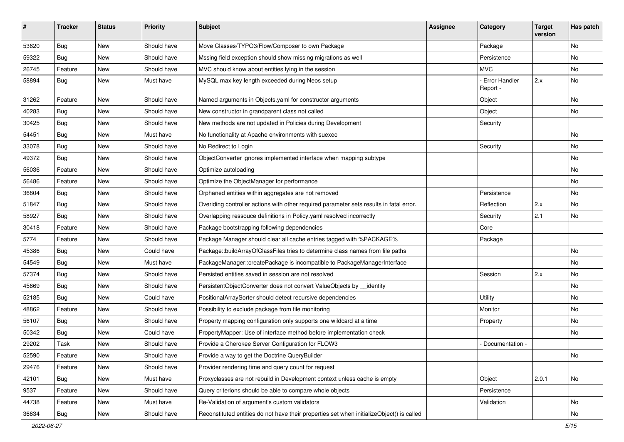| #     | <b>Tracker</b> | <b>Status</b> | <b>Priority</b> | <b>Subject</b>                                                                            | <b>Assignee</b> | Category                         | <b>Target</b><br>version | Has patch |
|-------|----------------|---------------|-----------------|-------------------------------------------------------------------------------------------|-----------------|----------------------------------|--------------------------|-----------|
| 53620 | Bug            | <b>New</b>    | Should have     | Move Classes/TYPO3/Flow/Composer to own Package                                           |                 | Package                          |                          | No        |
| 59322 | Bug            | New           | Should have     | Mssing field exception should show missing migrations as well                             |                 | Persistence                      |                          | No        |
| 26745 | Feature        | New           | Should have     | MVC should know about entities lying in the session                                       |                 | <b>MVC</b>                       |                          | No        |
| 58894 | Bug            | New           | Must have       | MySQL max key length exceeded during Neos setup                                           |                 | <b>Error Handler</b><br>Report - | 2.x                      | No        |
| 31262 | Feature        | New           | Should have     | Named arguments in Objects.yaml for constructor arguments                                 |                 | Object                           |                          | No        |
| 40283 | Bug            | New           | Should have     | New constructor in grandparent class not called                                           |                 | Object                           |                          | No        |
| 30425 | Bug            | New           | Should have     | New methods are not updated in Policies during Development                                |                 | Security                         |                          |           |
| 54451 | Bug            | New           | Must have       | No functionality at Apache environments with suexec                                       |                 |                                  |                          | No        |
| 33078 | <b>Bug</b>     | New           | Should have     | No Redirect to Login                                                                      |                 | Security                         |                          | No        |
| 49372 | Bug            | New           | Should have     | ObjectConverter ignores implemented interface when mapping subtype                        |                 |                                  |                          | No        |
| 56036 | Feature        | New           | Should have     | Optimize autoloading                                                                      |                 |                                  |                          | No        |
| 56486 | Feature        | New           | Should have     | Optimize the ObjectManager for performance                                                |                 |                                  |                          | No        |
| 36804 | Bug            | New           | Should have     | Orphaned entities within aggregates are not removed                                       |                 | Persistence                      |                          | No.       |
| 51847 | Bug            | New           | Should have     | Overiding controller actions with other required parameter sets results in fatal error.   |                 | Reflection                       | 2.x                      | No        |
| 58927 | Bug            | New           | Should have     | Overlapping ressouce definitions in Policy yaml resolved incorrectly                      |                 | Security                         | 2.1                      | No        |
| 30418 | Feature        | <b>New</b>    | Should have     | Package bootstrapping following dependencies                                              |                 | Core                             |                          |           |
| 5774  | Feature        | New           | Should have     | Package Manager should clear all cache entries tagged with %PACKAGE%                      |                 | Package                          |                          |           |
| 45386 | Bug            | New           | Could have      | Package::buildArrayOfClassFiles tries to determine class names from file paths            |                 |                                  |                          | No        |
| 54549 | Bug            | New           | Must have       | PackageManager::createPackage is incompatible to PackageManagerInterface                  |                 |                                  |                          | No        |
| 57374 | Bug            | New           | Should have     | Persisted entities saved in session are not resolved                                      |                 | Session                          | 2.x                      | No        |
| 45669 | Bug            | New           | Should have     | PersistentObjectConverter does not convert ValueObjects by _identity                      |                 |                                  |                          | No        |
| 52185 | Bug            | New           | Could have      | PositionalArraySorter should detect recursive dependencies                                |                 | Utility                          |                          | No        |
| 48862 | Feature        | New           | Should have     | Possibility to exclude package from file monitoring                                       |                 | Monitor                          |                          | No        |
| 56107 | Bug            | New           | Should have     | Property mapping configuration only supports one wildcard at a time                       |                 | Property                         |                          | No        |
| 50342 | Bug            | New           | Could have      | PropertyMapper: Use of interface method before implementation check                       |                 |                                  |                          | No        |
| 29202 | Task           | New           | Should have     | Provide a Cherokee Server Configuration for FLOW3                                         |                 | Documentation -                  |                          |           |
| 52590 | Feature        | New           | Should have     | Provide a way to get the Doctrine QueryBuilder                                            |                 |                                  |                          | No        |
| 29476 | Feature        | New           | Should have     | Provider rendering time and query count for request                                       |                 |                                  |                          |           |
| 42101 | Bug            | New           | Must have       | Proxyclasses are not rebuild in Development context unless cache is empty                 |                 | Object                           | 2.0.1                    | No        |
| 9537  | Feature        | New           | Should have     | Query criterions should be able to compare whole objects                                  |                 | Persistence                      |                          |           |
| 44738 | Feature        | New           | Must have       | Re-Validation of argument's custom validators                                             |                 | Validation                       |                          | No        |
| 36634 | Bug            | New           | Should have     | Reconstituted entities do not have their properties set when initializeObject() is called |                 |                                  |                          | No        |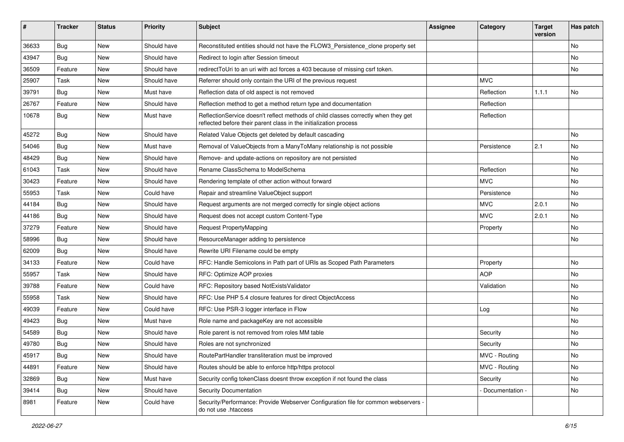| #     | <b>Tracker</b> | <b>Status</b> | <b>Priority</b> | <b>Subject</b>                                                                                                                                          | Assignee | Category          | <b>Target</b><br>version | Has patch |
|-------|----------------|---------------|-----------------|---------------------------------------------------------------------------------------------------------------------------------------------------------|----------|-------------------|--------------------------|-----------|
| 36633 | Bug            | <b>New</b>    | Should have     | Reconstituted entities should not have the FLOW3_Persistence_clone property set                                                                         |          |                   |                          | <b>No</b> |
| 43947 | Bug            | New           | Should have     | Redirect to login after Session timeout                                                                                                                 |          |                   |                          | No.       |
| 36509 | Feature        | New           | Should have     | redirectToUri to an uri with acl forces a 403 because of missing csrf token.                                                                            |          |                   |                          | No        |
| 25907 | Task           | New           | Should have     | Referrer should only contain the URI of the previous request                                                                                            |          | <b>MVC</b>        |                          |           |
| 39791 | <b>Bug</b>     | New           | Must have       | Reflection data of old aspect is not removed                                                                                                            |          | Reflection        | 1.1.1                    | No        |
| 26767 | Feature        | <b>New</b>    | Should have     | Reflection method to get a method return type and documentation                                                                                         |          | Reflection        |                          |           |
| 10678 | <b>Bug</b>     | New           | Must have       | ReflectionService doesn't reflect methods of child classes correctly when they get<br>reflected before their parent class in the initialization process |          | Reflection        |                          |           |
| 45272 | Bug            | New           | Should have     | Related Value Objects get deleted by default cascading                                                                                                  |          |                   |                          | No        |
| 54046 | <b>Bug</b>     | New           | Must have       | Removal of ValueObjects from a ManyToMany relationship is not possible                                                                                  |          | Persistence       | 2.1                      | No        |
| 48429 | <b>Bug</b>     | New           | Should have     | Remove- and update-actions on repository are not persisted                                                                                              |          |                   |                          | No        |
| 61043 | Task           | <b>New</b>    | Should have     | Rename ClassSchema to ModelSchema                                                                                                                       |          | Reflection        |                          | No        |
| 30423 | Feature        | New           | Should have     | Rendering template of other action without forward                                                                                                      |          | <b>MVC</b>        |                          | No        |
| 55953 | Task           | <b>New</b>    | Could have      | Repair and streamline ValueObject support                                                                                                               |          | Persistence       |                          | <b>No</b> |
| 44184 | Bug            | New           | Should have     | Request arguments are not merged correctly for single object actions                                                                                    |          | <b>MVC</b>        | 2.0.1                    | No        |
| 44186 | Bug            | New           | Should have     | Request does not accept custom Content-Type                                                                                                             |          | <b>MVC</b>        | 2.0.1                    | No        |
| 37279 | Feature        | New           | Should have     | Request PropertyMapping                                                                                                                                 |          | Property          |                          | No        |
| 58996 | Bug            | New           | Should have     | ResourceManager adding to persistence                                                                                                                   |          |                   |                          | No        |
| 62009 | <b>Bug</b>     | New           | Should have     | Rewrite URI Filename could be empty                                                                                                                     |          |                   |                          |           |
| 34133 | Feature        | New           | Could have      | RFC: Handle Semicolons in Path part of URIs as Scoped Path Parameters                                                                                   |          | Property          |                          | No        |
| 55957 | Task           | <b>New</b>    | Should have     | RFC: Optimize AOP proxies                                                                                                                               |          | <b>AOP</b>        |                          | <b>No</b> |
| 39788 | Feature        | New           | Could have      | RFC: Repository based NotExistsValidator                                                                                                                |          | Validation        |                          | No        |
| 55958 | Task           | New           | Should have     | RFC: Use PHP 5.4 closure features for direct ObjectAccess                                                                                               |          |                   |                          | No        |
| 49039 | Feature        | New           | Could have      | RFC: Use PSR-3 logger interface in Flow                                                                                                                 |          | Log               |                          | No        |
| 49423 | <b>Bug</b>     | New           | Must have       | Role name and packageKey are not accessible                                                                                                             |          |                   |                          | No        |
| 54589 | <b>Bug</b>     | New           | Should have     | Role parent is not removed from roles MM table                                                                                                          |          | Security          |                          | No        |
| 49780 | Bug            | New           | Should have     | Roles are not synchronized                                                                                                                              |          | Security          |                          | No        |
| 45917 | Bug            | New           | Should have     | RoutePartHandler transliteration must be improved                                                                                                       |          | MVC - Routing     |                          | No        |
| 44891 | Feature        | New           | Should have     | Routes should be able to enforce http/https protocol                                                                                                    |          | MVC - Routing     |                          | No        |
| 32869 | Bug            | New           | Must have       | Security config tokenClass doesnt throw exception if not found the class                                                                                |          | Security          |                          | No        |
| 39414 | Bug            | New           | Should have     | Security Documentation                                                                                                                                  |          | - Documentation - |                          | No        |
| 8981  | Feature        | New           | Could have      | Security/Performance: Provide Webserver Configuration file for common webservers -<br>do not use .htaccess                                              |          |                   |                          |           |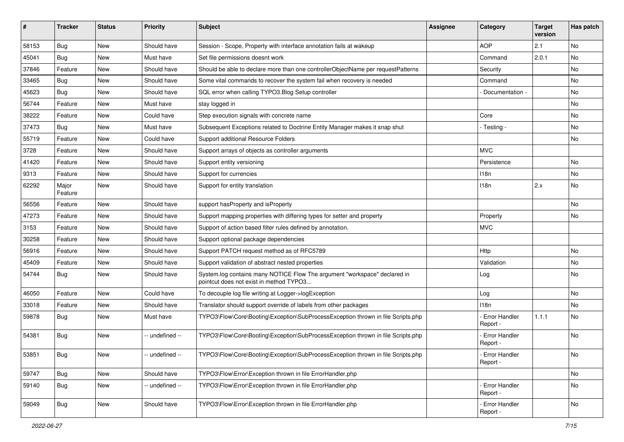| #     | <b>Tracker</b>   | <b>Status</b> | <b>Priority</b> | <b>Subject</b>                                                                                                       | <b>Assignee</b> | Category                    | <b>Target</b><br>version | Has patch |
|-------|------------------|---------------|-----------------|----------------------------------------------------------------------------------------------------------------------|-----------------|-----------------------------|--------------------------|-----------|
| 58153 | Bug              | New           | Should have     | Session - Scope, Property with interface annotation fails at wakeup                                                  |                 | <b>AOP</b>                  | 2.1                      | No        |
| 45041 | <b>Bug</b>       | New           | Must have       | Set file permissions doesnt work                                                                                     |                 | Command                     | 2.0.1                    | No        |
| 37846 | Feature          | New           | Should have     | Should be able to declare more than one controllerObjectName per requestPatterns                                     |                 | Security                    |                          | No        |
| 33465 | Bug              | New           | Should have     | Some vital commands to recover the system fail when recovery is needed                                               |                 | Command                     |                          | No        |
| 45623 | Bug              | New           | Should have     | SQL error when calling TYPO3. Blog Setup controller                                                                  |                 | Documentation -             |                          | No        |
| 56744 | Feature          | New           | Must have       | stay logged in                                                                                                       |                 |                             |                          | <b>No</b> |
| 38222 | Feature          | New           | Could have      | Step execution signals with concrete name                                                                            |                 | Core                        |                          | No        |
| 37473 | Bug              | New           | Must have       | Subsequent Exceptions related to Doctrine Entity Manager makes it snap shut                                          |                 | - Testing -                 |                          | No        |
| 55719 | Feature          | New           | Could have      | Support additional Resource Folders                                                                                  |                 |                             |                          | No        |
| 3728  | Feature          | New           | Should have     | Support arrays of objects as controller arguments                                                                    |                 | <b>MVC</b>                  |                          |           |
| 41420 | Feature          | New           | Should have     | Support entity versioning                                                                                            |                 | Persistence                 |                          | No        |
| 9313  | Feature          | New           | Should have     | Support for currencies                                                                                               |                 | 118n                        |                          | No        |
| 62292 | Major<br>Feature | New           | Should have     | Support for entity translation                                                                                       |                 | 118n                        | 2.x                      | No        |
| 56556 | Feature          | New           | Should have     | support has Property and is Property                                                                                 |                 |                             |                          | No        |
| 47273 | Feature          | New           | Should have     | Support mapping properties with differing types for setter and property                                              |                 | Property                    |                          | No        |
| 3153  | Feature          | New           | Should have     | Support of action based filter rules defined by annotation.                                                          |                 | <b>MVC</b>                  |                          |           |
| 30258 | Feature          | New           | Should have     | Support optional package dependencies                                                                                |                 |                             |                          |           |
| 56916 | Feature          | New           | Should have     | Support PATCH request method as of RFC5789                                                                           |                 | Http                        |                          | No.       |
| 45409 | Feature          | New           | Should have     | Support validation of abstract nested properties                                                                     |                 | Validation                  |                          | No        |
| 54744 | Bug              | New           | Should have     | System.log contains many NOTICE Flow The argument "workspace" declared in<br>pointcut does not exist in method TYPO3 |                 | Log                         |                          | No.       |
| 46050 | Feature          | New           | Could have      | To decouple log file writing at Logger->logException                                                                 |                 | Log                         |                          | No        |
| 33018 | Feature          | New           | Should have     | Translator should support override of labels from other packages                                                     |                 | 118n                        |                          | No        |
| 59878 | <b>Bug</b>       | New           | Must have       | TYPO3\Flow\Core\Booting\Exception\SubProcessException thrown in file Scripts.php                                     |                 | - Error Handler<br>Report - | 1.1.1                    | No        |
| 54381 | <b>Bug</b>       | <b>New</b>    | -- undefined -- | TYPO3\Flow\Core\Booting\Exception\SubProcessException thrown in file Scripts.php                                     |                 | - Error Handler<br>Report - |                          | <b>No</b> |
| 53851 | <b>Bug</b>       | New           | -- undefined -- | TYPO3\Flow\Core\Booting\Exception\SubProcessException thrown in file Scripts.php                                     |                 | - Error Handler<br>Report - |                          | No.       |
| 59747 | <b>Bug</b>       | New           | Should have     | TYPO3\Flow\Error\Exception thrown in file ErrorHandler.php                                                           |                 |                             |                          | No        |
| 59140 | <b>Bug</b>       | New           | -- undefined -- | TYPO3\Flow\Error\Exception thrown in file ErrorHandler.php                                                           |                 | Error Handler<br>Report -   |                          | No        |
| 59049 | Bug              | New           | Should have     | TYPO3\Flow\Error\Exception thrown in file ErrorHandler.php                                                           |                 | Error Handler<br>Report -   |                          | No        |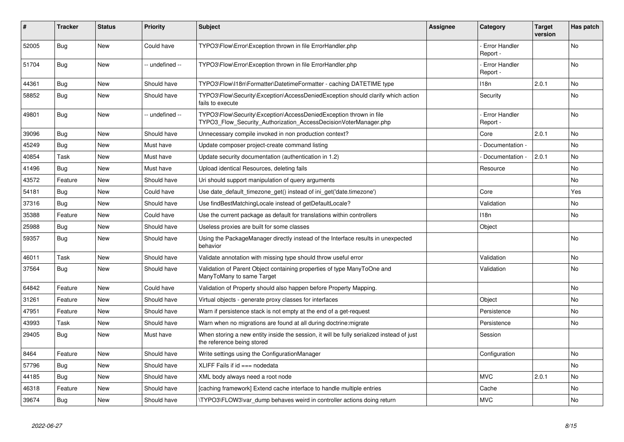| #     | <b>Tracker</b> | <b>Status</b> | <b>Priority</b> | <b>Subject</b>                                                                                                                         | <b>Assignee</b> | Category                         | <b>Target</b><br>version | Has patch |
|-------|----------------|---------------|-----------------|----------------------------------------------------------------------------------------------------------------------------------------|-----------------|----------------------------------|--------------------------|-----------|
| 52005 | Bug            | <b>New</b>    | Could have      | TYPO3\Flow\Error\Exception thrown in file ErrorHandler.php                                                                             |                 | Error Handler<br>Report -        |                          | <b>No</b> |
| 51704 | Bug            | <b>New</b>    | -- undefined -- | TYPO3\Flow\Error\Exception thrown in file ErrorHandler.php                                                                             |                 | Error Handler<br>Report -        |                          | No        |
| 44361 | Bug            | New           | Should have     | TYPO3\Flow\I18n\Formatter\DatetimeFormatter - caching DATETIME type                                                                    |                 | 118n                             | 2.0.1                    | No        |
| 58852 | Bug            | <b>New</b>    | Should have     | TYPO3\Flow\Security\Exception\AccessDeniedException should clarify which action<br>fails to execute                                    |                 | Security                         |                          | No        |
| 49801 | <b>Bug</b>     | New           | -- undefined -- | TYPO3\Flow\Security\Exception\AccessDeniedException thrown in file<br>TYPO3_Flow_Security_Authorization_AccessDecisionVoterManager.php |                 | <b>Error Handler</b><br>Report - |                          | <b>No</b> |
| 39096 | Bug            | <b>New</b>    | Should have     | Unnecessary compile invoked in non production context?                                                                                 |                 | Core                             | 2.0.1                    | No        |
| 45249 | Bug            | <b>New</b>    | Must have       | Update composer project-create command listing                                                                                         |                 | Documentation -                  |                          | No        |
| 40854 | Task           | New           | Must have       | Update security documentation (authentication in 1.2)                                                                                  |                 | Documentation -                  | 2.0.1                    | No        |
| 41496 | Bug            | <b>New</b>    | Must have       | Upload identical Resources, deleting fails                                                                                             |                 | Resource                         |                          | No        |
| 43572 | Feature        | <b>New</b>    | Should have     | Uri should support manipulation of query arguments                                                                                     |                 |                                  |                          | No.       |
| 54181 | <b>Bug</b>     | New           | Could have      | Use date default timezone get() instead of ini get('date.timezone')                                                                    |                 | Core                             |                          | Yes       |
| 37316 | Bug            | New           | Should have     | Use findBestMatchingLocale instead of getDefaultLocale?                                                                                |                 | Validation                       |                          | No        |
| 35388 | Feature        | New           | Could have      | Use the current package as default for translations within controllers                                                                 |                 | 118n                             |                          | No        |
| 25988 | Bug            | <b>New</b>    | Should have     | Useless proxies are built for some classes                                                                                             |                 | Object                           |                          |           |
| 59357 | Bug            | <b>New</b>    | Should have     | Using the PackageManager directly instead of the Interface results in unexpected<br>behavior                                           |                 |                                  |                          | No        |
| 46011 | Task           | <b>New</b>    | Should have     | Validate annotation with missing type should throw useful error                                                                        |                 | Validation                       |                          | No.       |
| 37564 | Bug            | New           | Should have     | Validation of Parent Object containing properties of type ManyToOne and<br>ManyToMany to same Target                                   |                 | Validation                       |                          | No        |
| 64842 | Feature        | <b>New</b>    | Could have      | Validation of Property should also happen before Property Mapping.                                                                     |                 |                                  |                          | <b>No</b> |
| 31261 | Feature        | <b>New</b>    | Should have     | Virtual objects - generate proxy classes for interfaces                                                                                |                 | Object                           |                          | No        |
| 47951 | Feature        | New           | Should have     | Warn if persistence stack is not empty at the end of a get-request                                                                     |                 | Persistence                      |                          | No        |
| 43993 | Task           | <b>New</b>    | Should have     | Warn when no migrations are found at all during doctrine: migrate                                                                      |                 | Persistence                      |                          | No        |
| 29405 | Bug            | <b>New</b>    | Must have       | When storing a new entity inside the session, it will be fully serialized instead of just<br>the reference being stored                |                 | Session                          |                          |           |
| 8464  | Feature        | <b>New</b>    | Should have     | Write settings using the ConfigurationManager                                                                                          |                 | Configuration                    |                          | No        |
| 57796 | Bug            | <b>New</b>    | Should have     | XLIFF Fails if $id ==$ nodedata                                                                                                        |                 |                                  |                          | <b>No</b> |
| 44185 | <b>Bug</b>     | <b>New</b>    | Should have     | XML body always need a root node                                                                                                       |                 | <b>MVC</b>                       | 2.0.1                    | No        |
| 46318 | Feature        | <b>New</b>    | Should have     | [caching framework] Extend cache interface to handle multiple entries                                                                  |                 | Cache                            |                          | <b>No</b> |
| 39674 | <b>Bug</b>     | <b>New</b>    | Should have     | TYPO3\FLOW3\var dump behaves weird in controller actions doing return                                                                  |                 | <b>MVC</b>                       |                          | No        |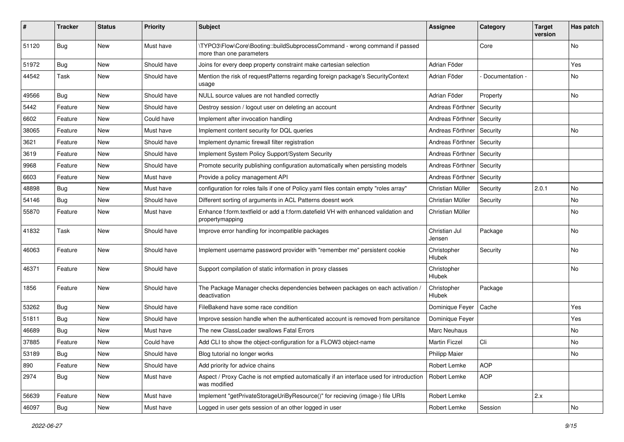| #     | Tracker    | <b>Status</b> | <b>Priority</b> | <b>Subject</b>                                                                                          | <b>Assignee</b>         | Category        | <b>Target</b><br>version | Has patch |
|-------|------------|---------------|-----------------|---------------------------------------------------------------------------------------------------------|-------------------------|-----------------|--------------------------|-----------|
| 51120 | <b>Bug</b> | New           | Must have       | \TYPO3\Flow\Core\Booting::buildSubprocessCommand - wrong command if passed<br>more than one parameters  |                         | Core            |                          | No        |
| 51972 | Bug        | New           | Should have     | Joins for every deep property constraint make cartesian selection                                       | Adrian Föder            |                 |                          | Yes       |
| 44542 | Task       | <b>New</b>    | Should have     | Mention the risk of requestPatterns regarding foreign package's SecurityContext<br>usage                | Adrian Föder            | Documentation - |                          | No        |
| 49566 | Bug        | New           | Should have     | NULL source values are not handled correctly                                                            | Adrian Föder            | Property        |                          | No.       |
| 5442  | Feature    | New           | Should have     | Destroy session / logout user on deleting an account                                                    | Andreas Förthner        | Security        |                          |           |
| 6602  | Feature    | New           | Could have      | Implement after invocation handling                                                                     | Andreas Förthner        | Security        |                          |           |
| 38065 | Feature    | New           | Must have       | Implement content security for DQL queries                                                              | Andreas Förthner        | Security        |                          | No        |
| 3621  | Feature    | New           | Should have     | Implement dynamic firewall filter registration                                                          | Andreas Förthner        | Security        |                          |           |
| 3619  | Feature    | New           | Should have     | Implement System Policy Support/System Security                                                         | Andreas Förthner        | Security        |                          |           |
| 9968  | Feature    | New           | Should have     | Promote security publishing configuration automatically when persisting models                          | Andreas Förthner        | Security        |                          |           |
| 6603  | Feature    | New           | Must have       | Provide a policy management API                                                                         | Andreas Förthner        | Security        |                          |           |
| 48898 | <b>Bug</b> | New           | Must have       | configuration for roles fails if one of Policy yaml files contain empty "roles array"                   | Christian Müller        | Security        | 2.0.1                    | No.       |
| 54146 | Bug        | New           | Should have     | Different sorting of arguments in ACL Patterns doesnt work                                              | Christian Müller        | Security        |                          | No        |
| 55870 | Feature    | New           | Must have       | Enhance f:form.textfield or add a f:form.datefield VH with enhanced validation and<br>propertymapping   | Christian Müller        |                 |                          | No        |
| 41832 | Task       | New           | Should have     | Improve error handling for incompatible packages                                                        | Christian Jul<br>Jensen | Package         |                          | No        |
| 46063 | Feature    | <b>New</b>    | Should have     | Implement username password provider with "remember me" persistent cookie                               | Christopher<br>Hlubek   | Security        |                          | No        |
| 46371 | Feature    | New           | Should have     | Support compilation of static information in proxy classes                                              | Christopher<br>Hlubek   |                 |                          | No        |
| 1856  | Feature    | <b>New</b>    | Should have     | The Package Manager checks dependencies between packages on each activation /<br>deactivation           | Christopher<br>Hlubek   | Package         |                          |           |
| 53262 | Bug        | New           | Should have     | FileBakend have some race condition                                                                     | Dominique Feyer         | Cache           |                          | Yes       |
| 51811 | Bug        | New           | Should have     | Improve session handle when the authenticated account is removed from persitance                        | Dominique Fever         |                 |                          | Yes       |
| 46689 | <b>Bug</b> | New           | Must have       | The new ClassLoader swallows Fatal Errors                                                               | Marc Neuhaus            |                 |                          | No        |
| 37885 | Feature    | New           | Could have      | Add CLI to show the object-configuration for a FLOW3 object-name                                        | <b>Martin Ficzel</b>    | Cli             |                          | No        |
| 53189 | <b>Bug</b> | New           | Should have     | Blog tutorial no longer works                                                                           | Philipp Maier           |                 |                          | No        |
| 890   | Feature    | New           | Should have     | Add priority for advice chains                                                                          | Robert Lemke            | <b>AOP</b>      |                          |           |
| 2974  | Bug        | New           | Must have       | Aspect / Proxy Cache is not emptied automatically if an interface used for introduction<br>was modified | Robert Lemke            | <b>AOP</b>      |                          |           |
| 56639 | Feature    | New           | Must have       | Implement "getPrivateStorageUriByResource()" for recieving (image-) file URIs                           | Robert Lemke            |                 | 2.x                      |           |
| 46097 | Bug        | New           | Must have       | Logged in user gets session of an other logged in user                                                  | Robert Lemke            | Session         |                          | No        |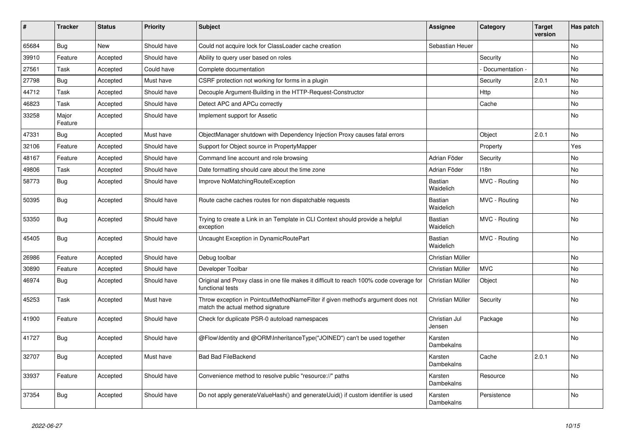| #     | <b>Tracker</b>   | <b>Status</b> | <b>Priority</b> | <b>Subject</b>                                                                                                       | <b>Assignee</b>         | Category        | <b>Target</b><br>version | Has patch |
|-------|------------------|---------------|-----------------|----------------------------------------------------------------------------------------------------------------------|-------------------------|-----------------|--------------------------|-----------|
| 65684 | <b>Bug</b>       | <b>New</b>    | Should have     | Could not acquire lock for ClassLoader cache creation                                                                | Sebastian Heuer         |                 |                          | <b>No</b> |
| 39910 | Feature          | Accepted      | Should have     | Ability to query user based on roles                                                                                 |                         | Security        |                          | No        |
| 27561 | Task             | Accepted      | Could have      | Complete documentation                                                                                               |                         | Documentation - |                          | <b>No</b> |
| 27798 | <b>Bug</b>       | Accepted      | Must have       | CSRF protection not working for forms in a plugin                                                                    |                         | Security        | 2.0.1                    | <b>No</b> |
| 44712 | Task             | Accepted      | Should have     | Decouple Argument-Building in the HTTP-Request-Constructor                                                           |                         | Http            |                          | No        |
| 46823 | Task             | Accepted      | Should have     | Detect APC and APCu correctly                                                                                        |                         | Cache           |                          | No        |
| 33258 | Major<br>Feature | Accepted      | Should have     | Implement support for Assetic                                                                                        |                         |                 |                          | <b>No</b> |
| 47331 | Bug              | Accepted      | Must have       | ObjectManager shutdown with Dependency Injection Proxy causes fatal errors                                           |                         | Object          | 2.0.1                    | <b>No</b> |
| 32106 | Feature          | Accepted      | Should have     | Support for Object source in PropertyMapper                                                                          |                         | Property        |                          | Yes       |
| 48167 | Feature          | Accepted      | Should have     | Command line account and role browsing                                                                               | Adrian Föder            | Security        |                          | <b>No</b> |
| 49806 | Task             | Accepted      | Should have     | Date formatting should care about the time zone                                                                      | Adrian Föder            | 118n            |                          | <b>No</b> |
| 58773 | Bug              | Accepted      | Should have     | Improve NoMatchingRouteException                                                                                     | Bastian<br>Waidelich    | MVC - Routing   |                          | <b>No</b> |
| 50395 | Bug              | Accepted      | Should have     | Route cache caches routes for non dispatchable requests                                                              | Bastian<br>Waidelich    | MVC - Routing   |                          | No        |
| 53350 | Bug              | Accepted      | Should have     | Trying to create a Link in an Template in CLI Context should provide a helpful<br>exception                          | Bastian<br>Waidelich    | MVC - Routing   |                          | No        |
| 45405 | <b>Bug</b>       | Accepted      | Should have     | Uncaught Exception in DynamicRoutePart                                                                               | Bastian<br>Waidelich    | MVC - Routing   |                          | No        |
| 26986 | Feature          | Accepted      | Should have     | Debug toolbar                                                                                                        | Christian Müller        |                 |                          | <b>No</b> |
| 30890 | Feature          | Accepted      | Should have     | Developer Toolbar                                                                                                    | Christian Müller        | <b>MVC</b>      |                          | <b>No</b> |
| 46974 | <b>Bug</b>       | Accepted      | Should have     | Original and Proxy class in one file makes it difficult to reach 100% code coverage for<br>functional tests          | Christian Müller        | Object          |                          | No        |
| 45253 | Task             | Accepted      | Must have       | Throw exception in PointcutMethodNameFilter if given method's argument does not<br>match the actual method signature | Christian Müller        | Security        |                          | <b>No</b> |
| 41900 | Feature          | Accepted      | Should have     | Check for duplicate PSR-0 autoload namespaces                                                                        | Christian Jul<br>Jensen | Package         |                          | No        |
| 41727 | Bug              | Accepted      | Should have     | @Flow\ldentity and @ORM\InheritanceType("JOINED") can't be used together                                             | Karsten<br>Dambekalns   |                 |                          | No        |
| 32707 | Bug              | Accepted      | Must have       | <b>Bad Bad FileBackend</b>                                                                                           | Karsten<br>Dambekalns   | Cache           | 2.0.1                    | <b>No</b> |
| 33937 | Feature          | Accepted      | Should have     | Convenience method to resolve public "resource://" paths                                                             | Karsten<br>Dambekalns   | Resource        |                          | <b>No</b> |
| 37354 | <b>Bug</b>       | Accepted      | Should have     | Do not apply generateValueHash() and generateUuid() if custom identifier is used                                     | Karsten<br>Dambekalns   | Persistence     |                          | No        |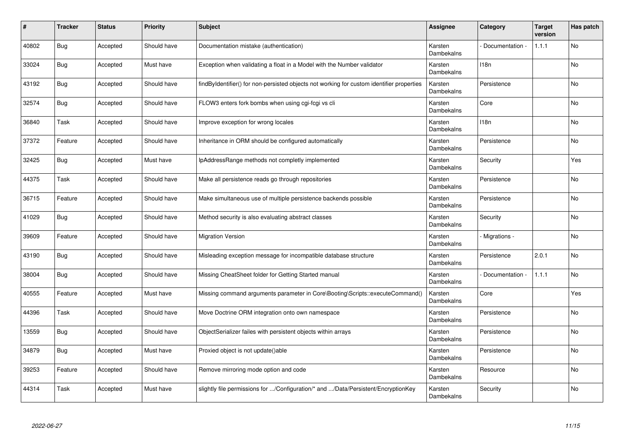| $\#$  | Tracker    | <b>Status</b> | <b>Priority</b> | <b>Subject</b>                                                                            | <b>Assignee</b>       | Category        | <b>Target</b><br>version | Has patch |
|-------|------------|---------------|-----------------|-------------------------------------------------------------------------------------------|-----------------------|-----------------|--------------------------|-----------|
| 40802 | Bug        | Accepted      | Should have     | Documentation mistake (authentication)                                                    | Karsten<br>Dambekalns | Documentation - | 1.1.1                    | <b>No</b> |
| 33024 | <b>Bug</b> | Accepted      | Must have       | Exception when validating a float in a Model with the Number validator                    | Karsten<br>Dambekalns | 118n            |                          | No        |
| 43192 | Bug        | Accepted      | Should have     | findByIdentifier() for non-persisted objects not working for custom identifier properties | Karsten<br>Dambekalns | Persistence     |                          | No        |
| 32574 | Bug        | Accepted      | Should have     | FLOW3 enters fork bombs when using cgi-fcgi vs cli                                        | Karsten<br>Dambekalns | Core            |                          | No        |
| 36840 | Task       | Accepted      | Should have     | Improve exception for wrong locales                                                       | Karsten<br>Dambekalns | 118n            |                          | No.       |
| 37372 | Feature    | Accepted      | Should have     | Inheritance in ORM should be configured automatically                                     | Karsten<br>Dambekalns | Persistence     |                          | No        |
| 32425 | Bug        | Accepted      | Must have       | IpAddressRange methods not completly implemented                                          | Karsten<br>Dambekalns | Security        |                          | Yes       |
| 44375 | Task       | Accepted      | Should have     | Make all persistence reads go through repositories                                        | Karsten<br>Dambekalns | Persistence     |                          | <b>No</b> |
| 36715 | Feature    | Accepted      | Should have     | Make simultaneous use of multiple persistence backends possible                           | Karsten<br>Dambekalns | Persistence     |                          | <b>No</b> |
| 41029 | Bug        | Accepted      | Should have     | Method security is also evaluating abstract classes                                       | Karsten<br>Dambekalns | Security        |                          | No        |
| 39609 | Feature    | Accepted      | Should have     | <b>Migration Version</b>                                                                  | Karsten<br>Dambekalns | Migrations -    |                          | No        |
| 43190 | Bug        | Accepted      | Should have     | Misleading exception message for incompatible database structure                          | Karsten<br>Dambekalns | Persistence     | 2.0.1                    | <b>No</b> |
| 38004 | Bug        | Accepted      | Should have     | Missing CheatSheet folder for Getting Started manual                                      | Karsten<br>Dambekalns | Documentation - | 1.1.1                    | No        |
| 40555 | Feature    | Accepted      | Must have       | Missing command arguments parameter in Core\Booting\Scripts::executeCommand()             | Karsten<br>Dambekalns | Core            |                          | Yes       |
| 44396 | Task       | Accepted      | Should have     | Move Doctrine ORM integration onto own namespace                                          | Karsten<br>Dambekalns | Persistence     |                          | No        |
| 13559 | <b>Bug</b> | Accepted      | Should have     | ObjectSerializer failes with persistent objects within arrays                             | Karsten<br>Dambekalns | Persistence     |                          | No        |
| 34879 | Bug        | Accepted      | Must have       | Proxied object is not update()able                                                        | Karsten<br>Dambekalns | Persistence     |                          | No        |
| 39253 | Feature    | Accepted      | Should have     | Remove mirroring mode option and code                                                     | Karsten<br>Dambekalns | Resource        |                          | No        |
| 44314 | Task       | Accepted      | Must have       | slightly file permissions for /Configuration/* and /Data/Persistent/EncryptionKey         | Karsten<br>Dambekalns | Security        |                          | No        |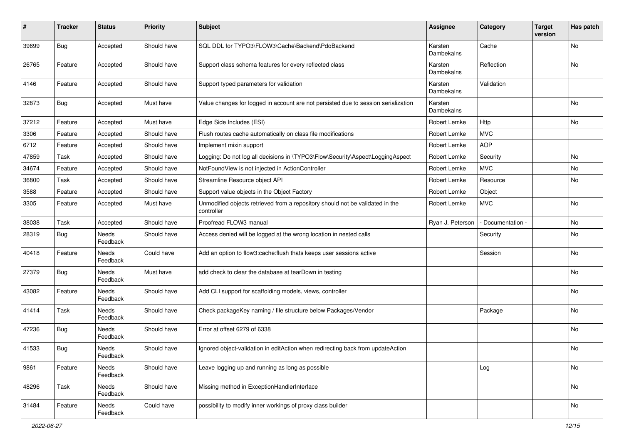| #     | <b>Tracker</b> | <b>Status</b>     | <b>Priority</b> | <b>Subject</b>                                                                              | <b>Assignee</b>       | Category          | <b>Target</b><br>version | Has patch |
|-------|----------------|-------------------|-----------------|---------------------------------------------------------------------------------------------|-----------------------|-------------------|--------------------------|-----------|
| 39699 | Bug            | Accepted          | Should have     | SQL DDL for TYPO3\FLOW3\Cache\Backend\PdoBackend                                            | Karsten<br>Dambekalns | Cache             |                          | No        |
| 26765 | Feature        | Accepted          | Should have     | Support class schema features for every reflected class                                     | Karsten<br>Dambekalns | Reflection        |                          | No        |
| 4146  | Feature        | Accepted          | Should have     | Support typed parameters for validation                                                     | Karsten<br>Dambekalns | Validation        |                          |           |
| 32873 | Bug            | Accepted          | Must have       | Value changes for logged in account are not persisted due to session serialization          | Karsten<br>Dambekalns |                   |                          | No        |
| 37212 | Feature        | Accepted          | Must have       | Edge Side Includes (ESI)                                                                    | Robert Lemke          | Http              |                          | <b>No</b> |
| 3306  | Feature        | Accepted          | Should have     | Flush routes cache automatically on class file modifications                                | Robert Lemke          | <b>MVC</b>        |                          |           |
| 6712  | Feature        | Accepted          | Should have     | Implement mixin support                                                                     | Robert Lemke          | <b>AOP</b>        |                          |           |
| 47859 | Task           | Accepted          | Should have     | Logging: Do not log all decisions in \TYPO3\Flow\Security\Aspect\LoggingAspect              | Robert Lemke          | Security          |                          | No        |
| 34674 | Feature        | Accepted          | Should have     | NotFoundView is not injected in ActionController                                            | Robert Lemke          | <b>MVC</b>        |                          | No        |
| 36800 | Task           | Accepted          | Should have     | Streamline Resource object API                                                              | Robert Lemke          | Resource          |                          | No        |
| 3588  | Feature        | Accepted          | Should have     | Support value objects in the Object Factory                                                 | Robert Lemke          | Object            |                          |           |
| 3305  | Feature        | Accepted          | Must have       | Unmodified objects retrieved from a repository should not be validated in the<br>controller | Robert Lemke          | <b>MVC</b>        |                          | No        |
| 38038 | Task           | Accepted          | Should have     | Proofread FLOW3 manual                                                                      | Ryan J. Peterson      | - Documentation - |                          | No        |
| 28319 | <b>Bug</b>     | Needs<br>Feedback | Should have     | Access denied will be logged at the wrong location in nested calls                          |                       | Security          |                          | No        |
| 40418 | Feature        | Needs<br>Feedback | Could have      | Add an option to flow3:cache:flush thats keeps user sessions active                         |                       | Session           |                          | No        |
| 27379 | Bug            | Needs<br>Feedback | Must have       | add check to clear the database at tearDown in testing                                      |                       |                   |                          | No        |
| 43082 | Feature        | Needs<br>Feedback | Should have     | Add CLI support for scaffolding models, views, controller                                   |                       |                   |                          | No        |
| 41414 | Task           | Needs<br>Feedback | Should have     | Check packageKey naming / file structure below Packages/Vendor                              |                       | Package           |                          | No        |
| 47236 | Bug            | Needs<br>Feedback | Should have     | Error at offset 6279 of 6338                                                                |                       |                   |                          | No        |
| 41533 | <b>Bug</b>     | Needs<br>Feedback | Should have     | Ignored object-validation in editAction when redirecting back from updateAction             |                       |                   |                          | No        |
| 9861  | Feature        | Needs<br>Feedback | Should have     | Leave logging up and running as long as possible                                            |                       | Log               |                          | No        |
| 48296 | Task           | Needs<br>Feedback | Should have     | Missing method in ExceptionHandlerInterface                                                 |                       |                   |                          | No        |
| 31484 | Feature        | Needs<br>Feedback | Could have      | possibility to modify inner workings of proxy class builder                                 |                       |                   |                          | No        |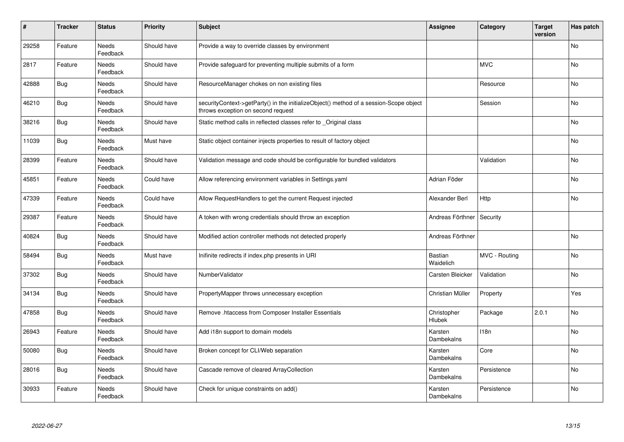| $\sharp$ | <b>Tracker</b> | <b>Status</b>            | Priority    | <b>Subject</b>                                                                                                               | <b>Assignee</b>       | Category      | <b>Target</b><br>version | Has patch |
|----------|----------------|--------------------------|-------------|------------------------------------------------------------------------------------------------------------------------------|-----------------------|---------------|--------------------------|-----------|
| 29258    | Feature        | Needs<br>Feedback        | Should have | Provide a way to override classes by environment                                                                             |                       |               |                          | <b>No</b> |
| 2817     | Feature        | Needs<br>Feedback        | Should have | Provide safeguard for preventing multiple submits of a form                                                                  |                       | <b>MVC</b>    |                          | No        |
| 42888    | Bug            | Needs<br>Feedback        | Should have | ResourceManager chokes on non existing files                                                                                 |                       | Resource      |                          | <b>No</b> |
| 46210    | Bug            | Needs<br>Feedback        | Should have | securityContext->getParty() in the initializeObject() method of a session-Scope object<br>throws exception on second request |                       | Session       |                          | No        |
| 38216    | <b>Bug</b>     | <b>Needs</b><br>Feedback | Should have | Static method calls in reflected classes refer to Original class                                                             |                       |               |                          | <b>No</b> |
| 11039    | Bug            | Needs<br>Feedback        | Must have   | Static object container injects properties to result of factory object                                                       |                       |               |                          | No        |
| 28399    | Feature        | Needs<br>Feedback        | Should have | Validation message and code should be configurable for bundled validators                                                    |                       | Validation    |                          | <b>No</b> |
| 45851    | Feature        | Needs<br>Feedback        | Could have  | Allow referencing environment variables in Settings yaml                                                                     | Adrian Föder          |               |                          | No        |
| 47339    | Feature        | <b>Needs</b><br>Feedback | Could have  | Allow RequestHandlers to get the current Request injected                                                                    | Alexander Berl        | Http          |                          | No        |
| 29387    | Feature        | Needs<br>Feedback        | Should have | A token with wrong credentials should throw an exception                                                                     | Andreas Förthner      | Security      |                          |           |
| 40824    | <b>Bug</b>     | Needs<br>Feedback        | Should have | Modified action controller methods not detected properly                                                                     | Andreas Förthner      |               |                          | <b>No</b> |
| 58494    | Bug            | Needs<br>Feedback        | Must have   | Inifinite redirects if index.php presents in URI                                                                             | Bastian<br>Waidelich  | MVC - Routing |                          | No        |
| 37302    | Bug            | <b>Needs</b><br>Feedback | Should have | NumberValidator                                                                                                              | Carsten Bleicker      | Validation    |                          | <b>No</b> |
| 34134    | Bug            | <b>Needs</b><br>Feedback | Should have | PropertyMapper throws unnecessary exception                                                                                  | Christian Müller      | Property      |                          | Yes       |
| 47858    | Bug            | Needs<br>Feedback        | Should have | Remove .htaccess from Composer Installer Essentials                                                                          | Christopher<br>Hlubek | Package       | 2.0.1                    | No        |
| 26943    | Feature        | Needs<br>Feedback        | Should have | Add i18n support to domain models                                                                                            | Karsten<br>Dambekalns | 118n          |                          | No        |
| 50080    | Bug            | Needs<br>Feedback        | Should have | Broken concept for CLI/Web separation                                                                                        | Karsten<br>Dambekalns | Core          |                          | <b>No</b> |
| 28016    | Bug            | Needs<br>Feedback        | Should have | Cascade remove of cleared ArrayCollection                                                                                    | Karsten<br>Dambekalns | Persistence   |                          | No        |
| 30933    | Feature        | Needs<br>Feedback        | Should have | Check for unique constraints on add()                                                                                        | Karsten<br>Dambekalns | Persistence   |                          | No        |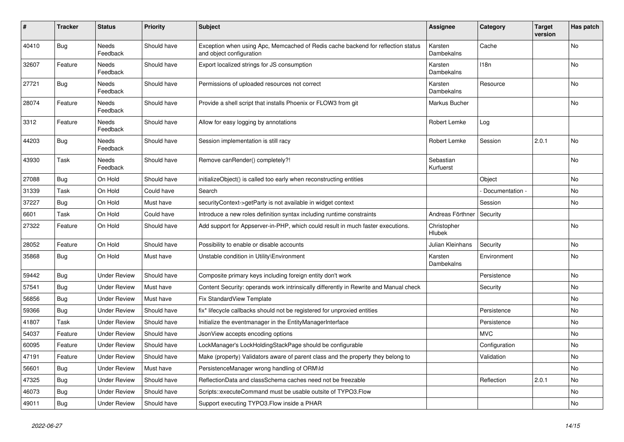| #     | <b>Tracker</b> | <b>Status</b>            | <b>Priority</b> | <b>Subject</b>                                                                                               | <b>Assignee</b>              | Category         | Target<br>version | Has patch |
|-------|----------------|--------------------------|-----------------|--------------------------------------------------------------------------------------------------------------|------------------------------|------------------|-------------------|-----------|
| 40410 | Bug            | <b>Needs</b><br>Feedback | Should have     | Exception when using Apc, Memcached of Redis cache backend for reflection status<br>and object configuration | Karsten<br><b>Dambekalns</b> | Cache            |                   | <b>No</b> |
| 32607 | Feature        | Needs<br>Feedback        | Should have     | Export localized strings for JS consumption                                                                  | Karsten<br>Dambekalns        | 118 <sub>n</sub> |                   | No        |
| 27721 | Bug            | Needs<br>Feedback        | Should have     | Permissions of uploaded resources not correct                                                                | Karsten<br>Dambekalns        | Resource         |                   | No        |
| 28074 | Feature        | Needs<br>Feedback        | Should have     | Provide a shell script that installs Phoenix or FLOW3 from git                                               | Markus Bucher                |                  |                   | No.       |
| 3312  | Feature        | Needs<br>Feedback        | Should have     | Allow for easy logging by annotations                                                                        | Robert Lemke                 | Log              |                   |           |
| 44203 | <b>Bug</b>     | Needs<br>Feedback        | Should have     | Session implementation is still racy                                                                         | Robert Lemke                 | Session          | 2.0.1             | No        |
| 43930 | Task           | Needs<br>Feedback        | Should have     | Remove canRender() completely?!                                                                              | Sebastian<br>Kurfuerst       |                  |                   | No        |
| 27088 | <b>Bug</b>     | On Hold                  | Should have     | initializeObject() is called too early when reconstructing entities                                          |                              | Object           |                   | No        |
| 31339 | Task           | On Hold                  | Could have      | Search                                                                                                       |                              | Documentation -  |                   | No        |
| 37227 | <b>Bug</b>     | On Hold                  | Must have       | securityContext->getParty is not available in widget context                                                 |                              | Session          |                   | <b>No</b> |
| 6601  | Task           | On Hold                  | Could have      | Introduce a new roles definition syntax including runtime constraints                                        | Andreas Förthner             | Security         |                   |           |
| 27322 | Feature        | On Hold                  | Should have     | Add support for Appserver-in-PHP, which could result in much faster executions.                              | Christopher<br>Hlubek        |                  |                   | No        |
| 28052 | Feature        | On Hold                  | Should have     | Possibility to enable or disable accounts                                                                    | Julian Kleinhans             | Security         |                   | No        |
| 35868 | Bug            | On Hold                  | Must have       | Unstable condition in Utility\Environment                                                                    | Karsten<br><b>Dambekalns</b> | Environment      |                   | No        |
| 59442 | Bug            | <b>Under Review</b>      | Should have     | Composite primary keys including foreign entity don't work                                                   |                              | Persistence      |                   | <b>No</b> |
| 57541 | Bug            | <b>Under Review</b>      | Must have       | Content Security: operands work intrinsically differently in Rewrite and Manual check                        |                              | Security         |                   | No        |
| 56856 | Bug            | <b>Under Review</b>      | Must have       | Fix StandardView Template                                                                                    |                              |                  |                   | No        |
| 59366 | Bug            | <b>Under Review</b>      | Should have     | fix* lifecycle callbacks should not be registered for unproxied entities                                     |                              | Persistence      |                   | No        |
| 41807 | Task           | <b>Under Review</b>      | Should have     | Initialize the eventmanager in the EntityManagerInterface                                                    |                              | Persistence      |                   | No        |
| 54037 | Feature        | <b>Under Review</b>      | Should have     | JsonView accepts encoding options                                                                            |                              | <b>MVC</b>       |                   | No        |
| 60095 | Feature        | <b>Under Review</b>      | Should have     | LockManager's LockHoldingStackPage should be configurable                                                    |                              | Configuration    |                   | No        |
| 47191 | Feature        | <b>Under Review</b>      | Should have     | Make (property) Validators aware of parent class and the property they belong to                             |                              | Validation       |                   | No        |
| 56601 | <b>Bug</b>     | <b>Under Review</b>      | Must have       | PersistenceManager wrong handling of ORM\ld                                                                  |                              |                  |                   | No        |
| 47325 | <b>Bug</b>     | <b>Under Review</b>      | Should have     | ReflectionData and classSchema caches need not be freezable                                                  |                              | Reflection       | 2.0.1             | No        |
| 46073 | <b>Bug</b>     | <b>Under Review</b>      | Should have     | Scripts::executeCommand must be usable outsite of TYPO3.Flow                                                 |                              |                  |                   | No        |
| 49011 | <b>Bug</b>     | <b>Under Review</b>      | Should have     | Support executing TYPO3. Flow inside a PHAR                                                                  |                              |                  |                   | No        |